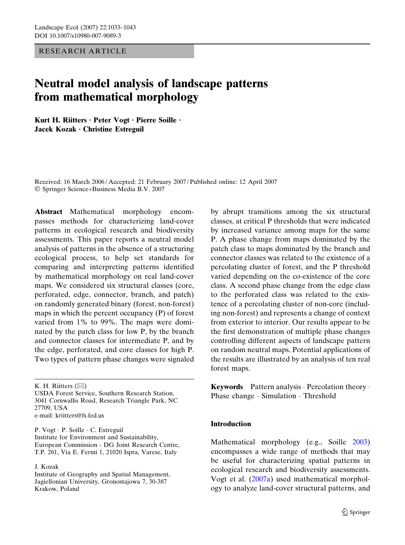RESEARCH ARTICLE

# Neutral model analysis of landscape patterns from mathematical morphology

Kurt H. Riitters · Peter Vogt · Pierre Soille · Jacek Kozak  $\cdot$  Christine Estreguil

Received: 16 March 2006 / Accepted: 21 February 2007 / Published online: 12 April 2007 Springer Science+Business Media B.V. 2007

Abstract Mathematical morphology encompasses methods for characterizing land-cover patterns in ecological research and biodiversity assessments. This paper reports a neutral model analysis of patterns in the absence of a structuring ecological process, to help set standards for comparing and interpreting patterns identified by mathematical morphology on real land-cover maps. We considered six structural classes (core, perforated, edge, connector, branch, and patch) on randomly generated binary (forest, non-forest) maps in which the percent occupancy (P) of forest varied from 1% to 99%. The maps were dominated by the patch class for low P, by the branch and connector classes for intermediate P, and by the edge, perforated, and core classes for high P. Two types of pattern phase changes were signaled

K. H. Riitters  $(\boxtimes)$ 

P. Vogt · P. Soille · C. Estreguil Institute for Environment and Sustainability, European Commission - DG Joint Research Centre, T.P. 261, Via E. Fermi 1, 21020 Ispra, Varese, Italy

J. Kozak

by abrupt transitions among the six structural classes, at critical P thresholds that were indicated by increased variance among maps for the same P. A phase change from maps dominated by the patch class to maps dominated by the branch and connector classes was related to the existence of a percolating cluster of forest, and the P threshold varied depending on the co-existence of the core class. A second phase change from the edge class to the perforated class was related to the existence of a percolating cluster of non-core (including non-forest) and represents a change of context from exterior to interior. Our results appear to be the first demonstration of multiple phase changes controlling different aspects of landscape pattern on random neutral maps. Potential applications of the results are illustrated by an analysis of ten real forest maps.

Keywords Pattern analysis · Percolation theory · Phase change · Simulation · Threshold

# **Introduction**

Mathematical morphology (e.g., Soille [2003](#page-10-0)) encompasses a wide range of methods that may be useful for characterizing spatial patterns in ecological research and biodiversity assessments. Vogt et al. [\(2007a](#page-10-0)) used mathematical morphology to analyze land-cover structural patterns, and

USDA Forest Service, Southern Research Station, 3041 Cornwallis Road, Research Triangle Park, NC 27709, USA e-mail: kriitters@fs.fed.us

Institute of Geography and Spatial Management, Jagiellonian University, Gronostajowa 7, 30-387 Krakow, Poland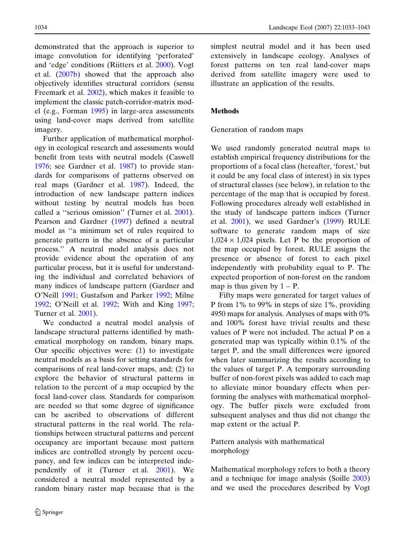demonstrated that the approach is superior to image convolution for identifying 'perforated' and 'edge' conditions (Riitters et al. [2000\)](#page-10-0). Vogt et al. [\(2007b\)](#page-10-0) showed that the approach also objectively identifies structural corridors (sensu Freemark et al. [2002\)](#page-10-0), which makes it feasible to implement the classic patch-corridor-matrix model (e.g., Forman [1995\)](#page-10-0) in large-area assessments using land-cover maps derived from satellite imagery.

Further application of mathematical morphology in ecological research and assessments would benefit from tests with neutral models (Caswell [1976;](#page-10-0) see Gardner et al. [1987](#page-10-0)) to provide standards for comparisons of patterns observed on real maps (Gardner et al. [1987\)](#page-10-0). Indeed, the introduction of new landscape pattern indices without testing by neutral models has been called a ''serious omission'' (Turner et al. [2001\)](#page-10-0). Pearson and Gardner [\(1997](#page-10-0)) defined a neutral model as ''a minimum set of rules required to generate pattern in the absence of a particular process.'' A neutral model analysis does not provide evidence about the operation of any particular process, but it is useful for understanding the individual and correlated behaviors of many indices of landscape pattern (Gardner and O'Neill [1991;](#page-10-0) Gustafson and Parker [1992](#page-10-0); Milne [1992;](#page-10-0) O'Neill et al. [1992](#page-10-0); With and King [1997;](#page-10-0) Turner et al. [2001\)](#page-10-0).

We conducted a neutral model analysis of landscape structural patterns identified by mathematical morphology on random, binary maps. Our specific objectives were: (1) to investigate neutral models as a basis for setting standards for comparisons of real land-cover maps, and; (2) to explore the behavior of structural patterns in relation to the percent of a map occupied by the focal land-cover class. Standards for comparison are needed so that some degree of significance can be ascribed to observations of different structural patterns in the real world. The relationships between structural patterns and percent occupancy are important because most pattern indices are controlled strongly by percent occupancy, and few indices can be interpreted independently of it (Turner et al. [2001\)](#page-10-0). We considered a neutral model represented by a random binary raster map because that is the

simplest neutral model and it has been used extensively in landscape ecology. Analyses of forest patterns on ten real land-cover maps derived from satellite imagery were used to illustrate an application of the results.

#### **Methods**

#### Generation of random maps

We used randomly generated neutral maps to establish empirical frequency distributions for the proportions of a focal class (hereafter, 'forest,' but it could be any focal class of interest) in six types of structural classes (see below), in relation to the percentage of the map that is occupied by forest. Following procedures already well established in the study of landscape pattern indices (Turner et al. [2001](#page-10-0)), we used Gardner's ([1999\)](#page-10-0) RULE software to generate random maps of size  $1,024 \times 1,024$  pixels. Let P be the proportion of the map occupied by forest. RULE assigns the presence or absence of forest to each pixel independently with probability equal to P. The expected proportion of non-forest on the random map is thus given by  $1 - P$ .

Fifty maps were generated for target values of P from 1% to 99% in steps of size 1%, providing 4950 maps for analysis. Analyses of maps with 0% and 100% forest have trivial results and these values of P were not included. The actual P on a generated map was typically within 0.1% of the target P, and the small differences were ignored when later summarizing the results according to the values of target P. A temporary surrounding buffer of non-forest pixels was added to each map to alleviate minor boundary effects when performing the analyses with mathematical morphology. The buffer pixels were excluded from subsequent analyses and thus did not change the map extent or the actual P.

Pattern analysis with mathematical morphology

Mathematical morphology refers to both a theory and a technique for image analysis (Soille [2003](#page-10-0)) and we used the procedures described by Vogt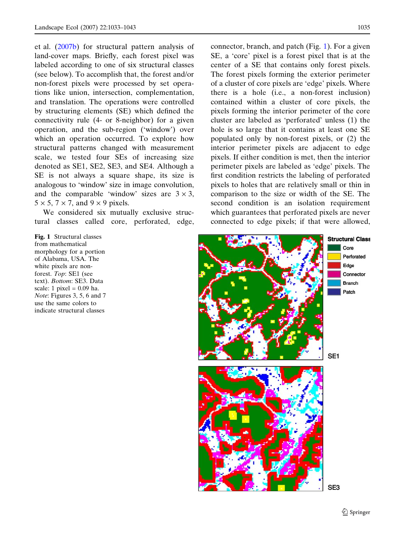<span id="page-2-0"></span>et al. ([2007b](#page-10-0)) for structural pattern analysis of land-cover maps. Briefly, each forest pixel was labeled according to one of six structural classes (see below). To accomplish that, the forest and/or non-forest pixels were processed by set operations like union, intersection, complementation, and translation. The operations were controlled by structuring elements (SE) which defined the connectivity rule (4- or 8-neighbor) for a given operation, and the sub-region ('window') over which an operation occurred. To explore how structural patterns changed with measurement scale, we tested four SEs of increasing size denoted as SE1, SE2, SE3, and SE4. Although a SE is not always a square shape, its size is analogous to 'window' size in image convolution, and the comparable 'window' sizes are  $3 \times 3$ ,  $5 \times 5$ ,  $7 \times 7$ , and  $9 \times 9$  pixels.

We considered six mutually exclusive structural classes called core, perforated, edge,

Fig. 1 Structural classes from mathematical morphology for a portion of Alabama, USA. The white pixels are nonforest. Top: SE1 (see text). Bottom: SE3. Data scale: 1 pixel =  $0.09$  ha. Note: Figures 3, 5, 6 and 7 use the same colors to indicate structural classes

connector, branch, and patch (Fig. 1). For a given SE, a 'core' pixel is a forest pixel that is at the center of a SE that contains only forest pixels. The forest pixels forming the exterior perimeter of a cluster of core pixels are 'edge' pixels. Where there is a hole (i.e., a non-forest inclusion) contained within a cluster of core pixels, the pixels forming the interior perimeter of the core cluster are labeled as 'perforated' unless (1) the hole is so large that it contains at least one SE populated only by non-forest pixels, or (2) the interior perimeter pixels are adjacent to edge pixels. If either condition is met, then the interior perimeter pixels are labeled as 'edge' pixels. The first condition restricts the labeling of perforated pixels to holes that are relatively small or thin in comparison to the size or width of the SE. The second condition is an isolation requirement which guarantees that perforated pixels are never connected to edge pixels; if that were allowed,

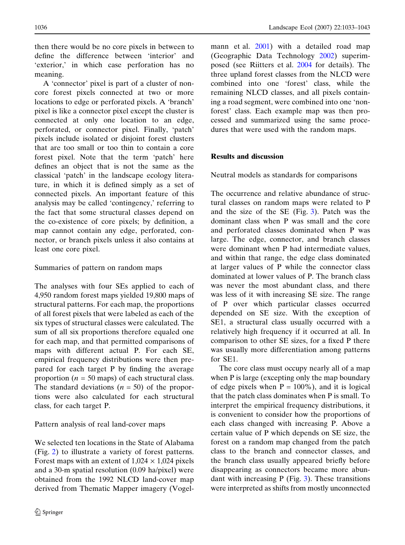then there would be no core pixels in between to define the difference between 'interior' and 'exterior,' in which case perforation has no meaning.

A 'connector' pixel is part of a cluster of noncore forest pixels connected at two or more locations to edge or perforated pixels. A 'branch' pixel is like a connector pixel except the cluster is connected at only one location to an edge, perforated, or connector pixel. Finally, 'patch' pixels include isolated or disjoint forest clusters that are too small or too thin to contain a core forest pixel. Note that the term 'patch' here defines an object that is not the same as the classical 'patch' in the landscape ecology literature, in which it is defined simply as a set of connected pixels. An important feature of this analysis may be called 'contingency,' referring to the fact that some structural classes depend on the co-existence of core pixels; by definition, a map cannot contain any edge, perforated, connector, or branch pixels unless it also contains at least one core pixel.

# Summaries of pattern on random maps

The analyses with four SEs applied to each of 4,950 random forest maps yielded 19,800 maps of structural patterns. For each map, the proportions of all forest pixels that were labeled as each of the six types of structural classes were calculated. The sum of all six proportions therefore equaled one for each map, and that permitted comparisons of maps with different actual P. For each SE, empirical frequency distributions were then prepared for each target P by finding the average proportion ( $n = 50$  maps) of each structural class. The standard deviations  $(n = 50)$  of the proportions were also calculated for each structural class, for each target P.

# Pattern analysis of real land-cover maps

We selected ten locations in the State of Alabama (Fig. [2](#page-4-0)) to illustrate a variety of forest patterns. Forest maps with an extent of  $1,024 \times 1,024$  pixels and a 30-m spatial resolution (0.09 ha/pixel) were obtained from the 1992 NLCD land-cover map derived from Thematic Mapper imagery (Vogelmann et al. [2001\)](#page-10-0) with a detailed road map (Geographic Data Technology [2002\)](#page-10-0) superimposed (see Riitters et al. [2004](#page-10-0) for details). The three upland forest classes from the NLCD were combined into one 'forest' class, while the remaining NLCD classes, and all pixels containing a road segment, were combined into one 'nonforest' class. Each example map was then processed and summarized using the same procedures that were used with the random maps.

### Results and discussion

Neutral models as standards for comparisons

The occurrence and relative abundance of structural classes on random maps were related to P and the size of the SE (Fig. [3\)](#page-5-0). Patch was the dominant class when P was small and the core and perforated classes dominated when P was large. The edge, connector, and branch classes were dominant when P had intermediate values, and within that range, the edge class dominated at larger values of P while the connector class dominated at lower values of P. The branch class was never the most abundant class, and there was less of it with increasing SE size. The range of P over which particular classes occurred depended on SE size. With the exception of SE1, a structural class usually occurred with a relatively high frequency if it occurred at all. In comparison to other SE sizes, for a fixed P there was usually more differentiation among patterns for SE1.

The core class must occupy nearly all of a map when P is large (excepting only the map boundary of edge pixels when  $P = 100\%$ ), and it is logical that the patch class dominates when P is small. To interpret the empirical frequency distributions, it is convenient to consider how the proportions of each class changed with increasing P. Above a certain value of P which depends on SE size, the forest on a random map changed from the patch class to the branch and connector classes, and the branch class usually appeared briefly before disappearing as connectors became more abundant with increasing P (Fig. [3\)](#page-5-0). These transitions were interpreted as shifts from mostly unconnected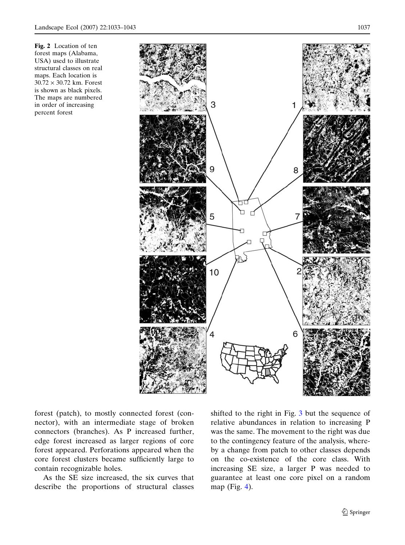<span id="page-4-0"></span>Fig. 2 Location of ten forest maps (Alabama, USA) used to illustrate structural classes on real maps. Each location is  $30.72 \times 30.72$  km. Forest is shown as black pixels. The maps are numbered in order of increasing percent forest



forest (patch), to mostly connected forest (connector), with an intermediate stage of broken connectors (branches). As P increased further, edge forest increased as larger regions of core forest appeared. Perforations appeared when the core forest clusters became sufficiently large to contain recognizable holes.

As the SE size increased, the six curves that describe the proportions of structural classes

shifted to the right in Fig. [3](#page-5-0) but the sequence of relative abundances in relation to increasing P was the same. The movement to the right was due to the contingency feature of the analysis, whereby a change from patch to other classes depends on the co-existence of the core class. With increasing SE size, a larger P was needed to guarantee at least one core pixel on a random map (Fig. [4\)](#page-5-0).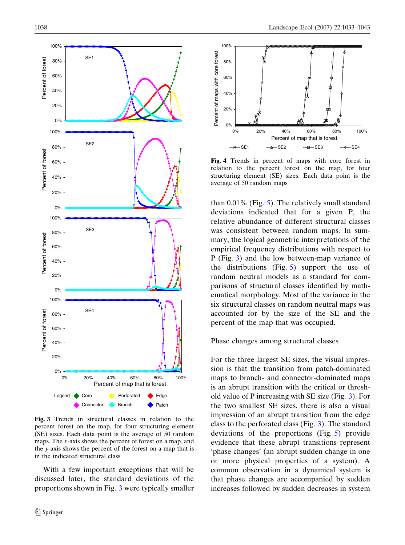<span id="page-5-0"></span>

Fig. 3 Trends in structural classes in relation to the percent forest on the map, for four structuring element (SE) sizes. Each data point is the average of 50 random maps. The x-axis shows the percent of forest on a map, and the y-axis shows the percent of the forest on a map that is in the indicated structural class

With a few important exceptions that will be discussed later, the standard deviations of the proportions shown in Fig. 3 were typically smaller



Fig. 4 Trends in percent of maps with core forest in relation to the percent forest on the map, for four structuring element (SE) sizes. Each data point is the average of 50 random maps

than  $0.01\%$  (Fig. [5](#page-6-0)). The relatively small standard deviations indicated that for a given P, the relative abundance of different structural classes was consistent between random maps. In summary, the logical geometric interpretations of the empirical frequency distributions with respect to P (Fig. 3) and the low between-map variance of the distributions (Fig. [5](#page-6-0)) support the use of random neutral models as a standard for comparisons of structural classes identified by mathematical morphology. Most of the variance in the six structural classes on random neutral maps was accounted for by the size of the SE and the percent of the map that was occupied.

Phase changes among structural classes

For the three largest SE sizes, the visual impression is that the transition from patch-dominated maps to branch- and connector-dominated maps is an abrupt transition with the critical or threshold value of P increasing with SE size (Fig. 3). For the two smallest SE sizes, there is also a visual impression of an abrupt transition from the edge class to the perforated class (Fig. 3). The standard deviations of the proportions (Fig. [5\)](#page-6-0) provide evidence that these abrupt transitions represent 'phase changes' (an abrupt sudden change in one or more physical properties of a system). A common observation in a dynamical system is that phase changes are accompanied by sudden increases followed by sudden decreases in system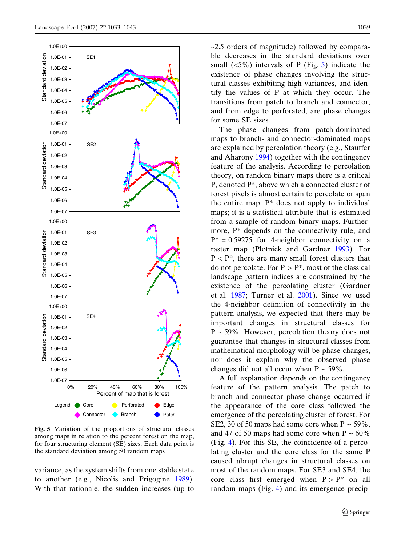<span id="page-6-0"></span>

Fig. 5 Variation of the proportions of structural classes among maps in relation to the percent forest on the map, for four structuring element (SE) sizes. Each data point is the standard deviation among 50 random maps

variance, as the system shifts from one stable state to another (e.g., Nicolis and Prigogine [1989\)](#page-10-0). With that rationale, the sudden increases (up to  $\sim$ 2.5 orders of magnitude) followed by comparable decreases in the standard deviations over small  $(<5\%)$  intervals of P (Fig. 5) indicate the existence of phase changes involving the structural classes exhibiting high variances, and identify the values of P at which they occur. The transitions from patch to branch and connector, and from edge to perforated, are phase changes for some SE sizes.

The phase changes from patch-dominated maps to branch- and connector-dominated maps are explained by percolation theory (e.g., Stauffer and Aharony [1994\)](#page-10-0) together with the contingency feature of the analysis. According to percolation theory, on random binary maps there is a critical P, denoted P\*, above which a connected cluster of forest pixels is almost certain to percolate or span the entire map. P\* does not apply to individual maps; it is a statistical attribute that is estimated from a sample of random binary maps. Furthermore, P\* depends on the connectivity rule, and  $P^* = 0.59275$  for 4-neighbor connectivity on a raster map (Plotnick and Gardner [1993](#page-10-0)). For  $P < P^*$ , there are many small forest clusters that do not percolate. For  $P > P^*$ , most of the classical landscape pattern indices are constrained by the existence of the percolating cluster (Gardner et al. [1987](#page-10-0); Turner et al. [2001\)](#page-10-0). Since we used the 4-neighbor definition of connectivity in the pattern analysis, we expected that there may be important changes in structural classes for  $P \sim 59\%$ . However, percolation theory does not guarantee that changes in structural classes from mathematical morphology will be phase changes, nor does it explain why the observed phase changes did not all occur when  $P \sim 59\%$ .

A full explanation depends on the contingency feature of the pattern analysis. The patch to branch and connector phase change occurred if the appearance of the core class followed the emergence of the percolating cluster of forest. For SE2, 30 of 50 maps had some core when  $P \sim 59\%$ , and 47 of 50 maps had some core when  $P \sim 60\%$ (Fig. [4](#page-5-0)). For this SE, the coincidence of a percolating cluster and the core class for the same P caused abrupt changes in structural classes on most of the random maps. For SE3 and SE4, the core class first emerged when  $P > P^*$  on all random maps (Fig. [4\)](#page-5-0) and its emergence precip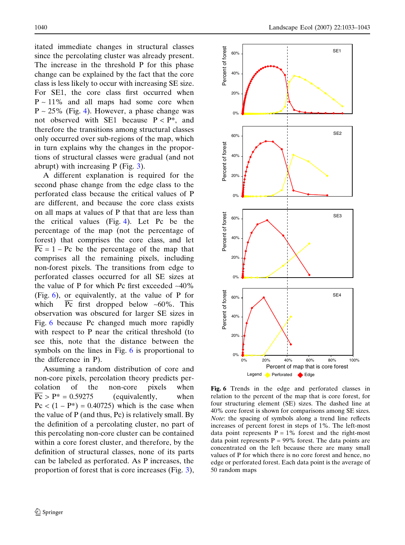itated immediate changes in structural classes since the percolating cluster was already present. The increase in the threshold P for this phase change can be explained by the fact that the core class is less likely to occur with increasing SE size. For SE1, the core class first occurred when  $P \sim 11\%$  and all maps had some core when  $P \sim 25\%$  (Fig. [4\)](#page-5-0). However, a phase change was not observed with SE1 because  $P < P^*$ , and therefore the transitions among structural classes only occurred over sub-regions of the map, which in turn explains why the changes in the proportions of structural classes were gradual (and not abrupt) with increasing  $P$  (Fig. [3\)](#page-5-0).

A different explanation is required for the second phase change from the edge class to the perforated class because the critical values of P are different, and because the core class exists on all maps at values of P that that are less than the critical values (Fig. [4\)](#page-5-0). Let Pc be the percentage of the map (not the percentage of forest) that comprises the core class, and let  $\overline{Pc} = 1 - Pc$  be the percentage of the map that comprises all the remaining pixels, including non-forest pixels. The transitions from edge to perforated classes occurred for all SE sizes at the value of P for which Pc first exceeded  $~40\%$ (Fig. 6), or equivalently, at the value of P for which  $\overline{Pc}$  first dropped below ~60%. This observation was obscured for larger SE sizes in Fig. 6 because Pc changed much more rapidly with respect to P near the critical threshold (to see this, note that the distance between the symbols on the lines in Fig. 6 is proportional to the difference in P).

Assuming a random distribution of core and non-core pixels, percolation theory predicts percolation of the non-core pixels when  $\overline{Pc}$  > P\* = 0.59275 (equivalently, when  $Pc < (1 - P^*) = 0.40725$  which is the case when the value of P (and thus, Pc) is relatively small. By the definition of a percolating cluster, no part of this percolating non-core cluster can be contained within a core forest cluster, and therefore, by the definition of structural classes, none of its parts can be labeled as perforated. As P increases, the proportion of forest that is core increases (Fig. [3\)](#page-5-0),



Fig. 6 Trends in the edge and perforated classes in relation to the percent of the map that is core forest, for four structuring element (SE) sizes. The dashed line at 40% core forest is shown for comparisons among SE sizes. Note: the spacing of symbols along a trend line reflects increases of percent forest in steps of 1%. The left-most data point represents  $P = 1\%$  forest and the right-most data point represents  $P = 99\%$  forest. The data points are concentrated on the left because there are many small values of P for which there is no core forest and hence, no edge or perforated forest. Each data point is the average of 50 random maps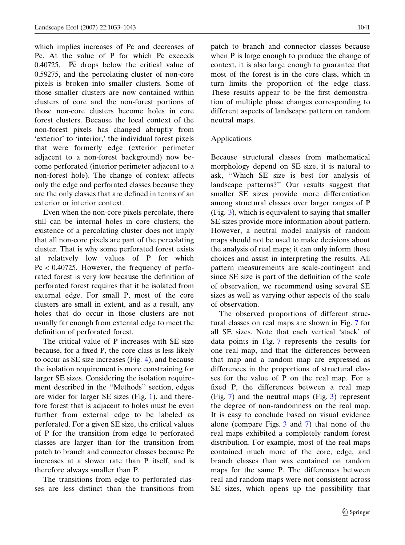which implies increases of Pc and decreases of Pc. At the value of P for which Pc exceeds 0.40725,  $\overline{Pc}$  drops below the critical value of 0.59275, and the percolating cluster of non-core pixels is broken into smaller clusters. Some of those smaller clusters are now contained within clusters of core and the non-forest portions of those non-core clusters become holes in core forest clusters. Because the local context of the non-forest pixels has changed abruptly from 'exterior' to 'interior,' the individual forest pixels that were formerly edge (exterior perimeter adjacent to a non-forest background) now become perforated (interior perimeter adjacent to a non-forest hole). The change of context affects only the edge and perforated classes because they are the only classes that are defined in terms of an exterior or interior context.

Even when the non-core pixels percolate, there still can be internal holes in core clusters; the existence of a percolating cluster does not imply that all non-core pixels are part of the percolating cluster. That is why some perforated forest exists at relatively low values of P for which  $Pc < 0.40725$ . However, the frequency of perforated forest is very low because the definition of perforated forest requires that it be isolated from external edge. For small P, most of the core clusters are small in extent, and as a result, any holes that do occur in those clusters are not usually far enough from external edge to meet the definition of perforated forest.

The critical value of P increases with SE size because, for a fixed P, the core class is less likely to occur as SE size increases (Fig. [4](#page-5-0)), and because the isolation requirement is more constraining for larger SE sizes. Considering the isolation requirement described in the ''Methods'' section, edges are wider for larger SE sizes (Fig. [1](#page-2-0)), and therefore forest that is adjacent to holes must be even further from external edge to be labeled as perforated. For a given SE size, the critical values of P for the transition from edge to perforated classes are larger than for the transition from patch to branch and connector classes because Pc increases at a slower rate than P itself, and is therefore always smaller than P.

The transitions from edge to perforated classes are less distinct than the transitions from patch to branch and connector classes because when P is large enough to produce the change of context, it is also large enough to guarantee that most of the forest is in the core class, which in turn limits the proportion of the edge class. These results appear to be the first demonstration of multiple phase changes corresponding to different aspects of landscape pattern on random neutral maps.

#### Applications

Because structural classes from mathematical morphology depend on SE size, it is natural to ask, ''Which SE size is best for analysis of landscape patterns?'' Our results suggest that smaller SE sizes provide more differentiation among structural classes over larger ranges of P (Fig. [3](#page-5-0)), which is equivalent to saying that smaller SE sizes provide more information about pattern. However, a neutral model analysis of random maps should not be used to make decisions about the analysis of real maps; it can only inform those choices and assist in interpreting the results. All pattern measurements are scale-contingent and since SE size is part of the definition of the scale of observation, we recommend using several SE sizes as well as varying other aspects of the scale of observation.

The observed proportions of different structural classes on real maps are shown in Fig. [7](#page-9-0) for all SE sizes. Note that each vertical 'stack' of data points in Fig. [7](#page-9-0) represents the results for one real map, and that the differences between that map and a random map are expressed as differences in the proportions of structural classes for the value of P on the real map. For a fixed P, the differences between a real map (Fig. [7](#page-9-0)) and the neutral maps (Fig. [3](#page-5-0)) represent the degree of non-randomness on the real map. It is easy to conclude based on visual evidence alone (compare Figs. [3](#page-5-0) and [7](#page-9-0)) that none of the real maps exhibited a completely random forest distribution. For example, most of the real maps contained much more of the core, edge, and branch classes than was contained on random maps for the same P. The differences between real and random maps were not consistent across SE sizes, which opens up the possibility that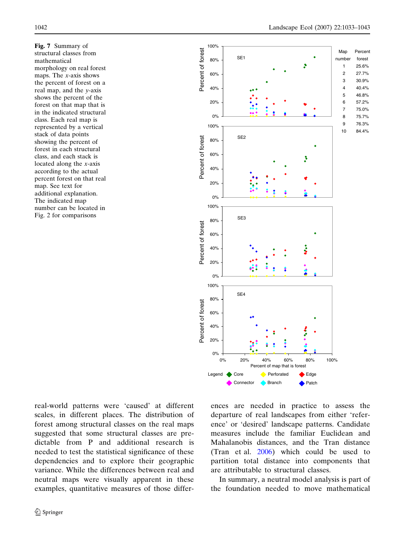<span id="page-9-0"></span>Fig. 7 Summary of structural classes from mathematical morphology on real forest maps. The x-axis shows the percent of forest on a real map, and the y-axis shows the percent of the forest on that map that is in the indicated structural class. Each real map is represented by a vertical stack of data points showing the percent of forest in each structural class, and each stack is located along the x-axis according to the actual percent forest on that real map. See text for additional explanation. The indicated map number can be located in Fig. 2 for comparisons



real-world patterns were 'caused' at different scales, in different places. The distribution of forest among structural classes on the real maps suggested that some structural classes are predictable from P and additional research is needed to test the statistical significance of these dependencies and to explore their geographic variance. While the differences between real and neutral maps were visually apparent in these examples, quantitative measures of those differences are needed in practice to assess the departure of real landscapes from either 'reference' or 'desired' landscape patterns. Candidate measures include the familiar Euclidean and Mahalanobis distances, and the Tran distance (Tran et al. [2006\)](#page-10-0) which could be used to partition total distance into components that are attributable to structural classes.

In summary, a neutral model analysis is part of the foundation needed to move mathematical